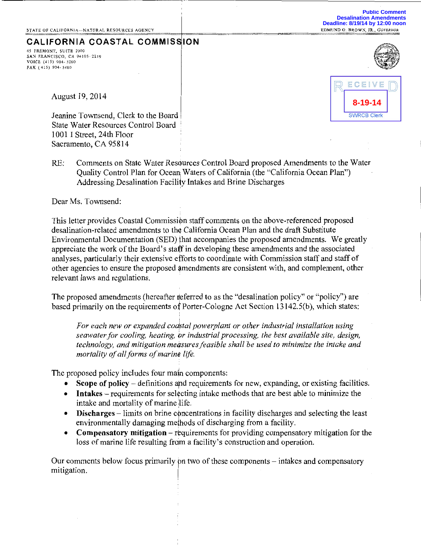**Public Comment Desalination Amendments Deadline: 8/19/14 by 12:00 noon**<br>EDMUND G. BROWN, JR., GOVERNOR

**8-19-14**

**SWRCB Clerk** 

ECEIVE

# **CALIFORNIA COASTAL COMMISSION**

*45* FREMONT, SU!TE 2000 SAN FRANCISCO, CA 94105-2219 VOICE (415) 904-5200 FAX (415) 904-5400



August 19, 2014

Jeanine Townsend, Clerk to the Board! State Water Resources Control Board 1001 I Street, 24th Floor Sacramento, CA 95814

RE: Comments on State Water Resources Control Board proposed Amendments to the Water Quality Control Plan for Ocean Waters of California (the "California Ocean Plan") Addressing Desalination Facility Intakes and Brine Discharges

Dear Ms. Townsend:

This letter provides Coastal Commission staff comments on the above-referenced proposed desalination-related amendments to th¢ California Ocean Plan and the draft Substitute Environmental Documentation (SED) that accompanies the proposed amendments. We greatly appreciate the work of the Board's staff in developing these amendments and the associated analyses, particularly their extensive efforts to coordinate with Commission staff and staff of other agencies to ensure the proposed amendments are consistent with, and complement, other relevant laws and regulations.

The proposed amendments (hereafter referred to as the "desalination policy" or "policy") are based primarily on the requirements of Porter-Cologne Act Section 13142.5(b), which states:

For each new or expanded coastal powerplant or other industrial installation using *seawater for cooling, heating, Or industrial processing, the best available site, design, technology, and mitigation measures feasible shall be used to minimize the intake and mortality of all forms of marine life.* 

The proposed policy includes four main components:

- Scope of policy definitions and requirements for new, expanding, or existing facilities.
- Intakes requirements for selecting intake methods that are best able to minimize the intake and mortality of marine life.
- $\bullet$  Discharges limits on brine concentrations in facility discharges and selecting the least environmentally damaging methods of discharging from a facility.
- Compensatory mitigation requirements for providing compensatory mitigation for the loss of marine life resulting from a facility's construction and operation.

Our comments below focus primarily pn two of these components- intakes and compensatory mitigation.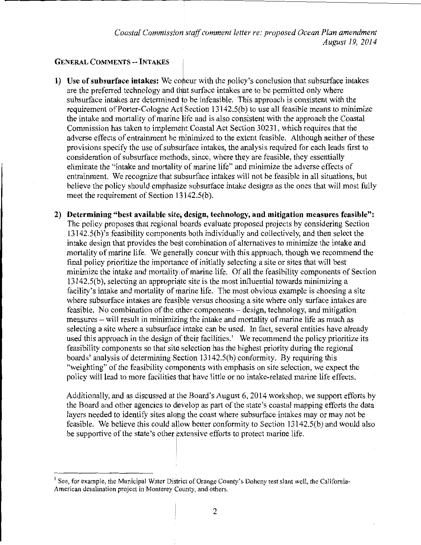*Coastal Commission staff comment letter re: proposed Ocean Plan amendment August 19, 2014* 

#### **GENERAL COMMENTS-- INTAKES**

**1)** Use of subsurface intakes: We concur with the policy's conclusion that subsurface intakes are the preferred technology and that surface intakes are to be permitted only where subsurface intakes are determined to be infeasible. This approach is consistent with the requirement of Porter-Cologne Act Section  $13142.5(b)$  to use all feasible means to minimize the intake and mortality of marine ife and is also consistent with the approach the Coastal Commission has taken to implement Coastal Act Section 30231, which requires that the adverse effects of entrainment be minimized to the extent feasible. Although neither of these provisions specify the use of subsurface intakes, the analysis required for each leads first to consideration of subsurface methods, since, where they are feasible, they essentially eliminate the "intake and mortality of marine life" and minimize the adverse effects of entrainment. We recognize that subsurface intakes will not be feasible in all situations, but believe the policy should emphasize subsurface intake designs as the ones that will most fully meet the requirement of Section  $13142.5(b)$ .

**2) Determining "best available site, design, technology, and mitigation measures feasible":**  The policy proposes that regional boards evaluate proposed projects by considering Section  $13142.5(b)$ 's feasibility components both individually and collectively, and then select the intake design that provides the best combination of alternatives to minimize the intake and mortality of marine life. We generally concur with this approach, though we recommend the final policy prioritize the importance of initially selecting a site or sites that will best minimize the intake and mortality, of marine life. Of all the feasibility components of Section  $13142.5(b)$ , selecting an appropriate site is the most influential towards minimizing a facility's intake and mortality of marine life. The most obvious example is choosing a site where subsurface intakes are feasible versus choosing a site where only surface intakes are feasible. No combination of the dther components- design, technology, and mitigation measures -will result in minimizing the intake and mortality of marine life as much as selecting a site where a subsurfac¢ intake can be used. In fact, several entities have already used this approach in the design of their facilities.<sup>1</sup> We recommend the policy prioritize its feasibility components so that site selection has the highest priority during the regional boards' analysis of determining Section l3142.5(b) conformity. By requiring this "weighting" of the feasibility components with emphasis on site selection, we expect the policy will lead to more facilities that have little or no intake-related marine life effects.

Additionally, and as discussed at the Board's August 6, 2014 workshop, we support efforts by the Board and other agencies to develop as part of the state's coastal mapping efforts the data layers needed to identify sites alopg the coast where subsurface intakes may or may not be feasible. We believe this could a1low better conformity to Section 13142.5(b) and would also be supportive of the state's other extensive efforts to protect marine life.

I

<sup>&</sup>lt;sup>1</sup> See, for example, the Municipal Water District of Orange County's Doheny test slant well, the California-American desalination project in Monterey County, and others.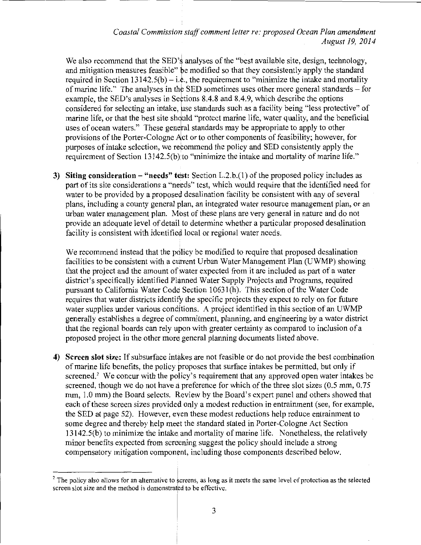## *Coastal Commission staff comment letter re: proposed Ocean Plan amendment August 19, 2014*

We also recommend that the SED's analyses of the "best available site, design, technology, and mitigation measures feasible" be modified so that they consistently apply the standard required in Section 13142.5(b) – i.e., the requirement to "minimize the intake and mortality of marine life." The analyses in the SED sometimes uses other more general standards – for example, the SED's analyses in Sections 8.4.8 and 8.4.9, which describe the options considered for selecting an intake, use standards such as a facility being "less protective" of marine life, or that the best site should "protect marine life, water quality, and the beneficial uses of ocean waters." These general standards may be appropriate to apply to other provisions of the Porter-Cologne Alct or to other components of feasibility; however, for purposes of intake selection, we recommend the policy and SED consistently apply the requirement of Section 13142.5(b) to "minimize the intake and mortality of marine life."

**3) Siting consideration – "needs" test:** Section L.2.b.(1) of the proposed policy includes as part of its site considerations a "needs" test, which would require that the identified need for water to be provided by a proposed desalination facility be consistent with any of several plans, including a county general plan, an integrated water resource management plan, or an urban water management plan. Most of these plans are very general in nature and do not provide an adequate level of detail to determine whether a particular proposed desalination facility is consistent with identified local or regional water needs.

We recommend instead that the policy be modified to require that proposed desalination facilities to be consistent with a current Urban Water Management Plan (UWMP) showing that the project and the amount of water expected from it are included as part of a water district's specifically identified Planned Water Supply Projects and Programs, required pursuant to California Water Code Section 10631(h). This section of the Water Code requires that water districts identify the specific projects they expect to rely on for future water supplies under various conditions. A project identified in this section of an UWMP generally establishes a degree of commitment, planning, and engineering by a water district that the regional boards can rely upon with greater certainty as compared to inclusion of a proposed project in the other more general planning documents listed above.

4) Screen slot size: If subsurface intakes are not feasible or do not provide the best combination of marine life benefits, the policy proposes that surface intakes be permitted, but only if screened.<sup>2</sup> We concur with the policy's requirement that any approved open water intakes be screened, though we do not have a preference for which of the three slot sizes  $(0.5 \text{ mm}, 0.75)$ mm, 1.0 mm) the Board selects. Review by the Board's expert panel and others showed that each of these screen sizes provided only a modest reduction in entrainment (see, for example, the SED at page 52). However, even these modest reductions help reduce entrainment to some degree and thereby help meet the standard stated in Porter-Cologne Act Section 13142.5(b) to minimize the intake and mortality of marine life. Nonetheless, the relatively minor benefits expected from screening suggest the policy should include a strong compensatory mitigation component, including those components described below.

 $<sup>2</sup>$  The policy also allows for an alternative to screens, as long as it meets the same level of protection as the selected</sup> screen slot size and the method is demonstrated to be effective.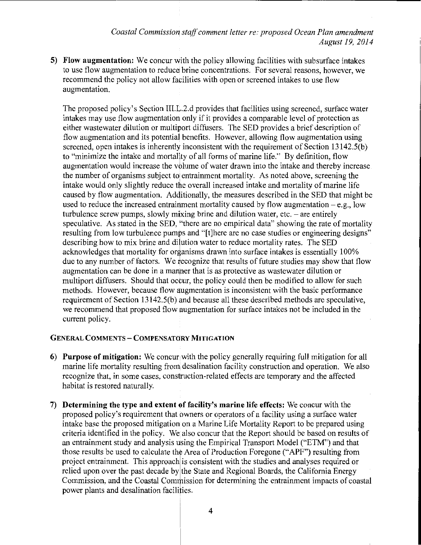5) Flow augmentation: We concur with the policy allowing facilities with subsurface intakes to use flow augmentation to reduca brine concentrations. For several reasons, however, we recommend the policy not allow facilities with open or screened intakes to use flow augmentation.

The proposed policy's Section III.L.2.d provides that facilities using screened, surface water intakes may use flow augmentation only if it provides a comparable level of protection as either wastewater dilution or multiport diffusers. The SED provides a brief description of flow augmentation and its potential benefits. However, allowing flow augmentation using screened, open intakes is inherently inconsistent with the requirement of Section 13142.5(b) to "minimize the intake and mortality of all forms of marine life." By definition, flow augmentation would increase the volume of water drawn into the intake and thereby increase the number of organisms subject to entrainment mortality. As noted above, screening the intake would only slightly reduce the overall increased intake and mortality of marine life caused by flow augmentation. Additionally, the measures described in the SED that might be used to reduce the increased entrainment mortality caused by flow augmentation  $-e.g.,$  low turbulence screw pumps, slowly mixing brine and dilution water, etc.  $-$  are entirely speculative. As stated in the SED, "there are no empirical data" showing the rate of mortality resulting from low turbulence pumps and "[t]here are no case studies or engineering designs" describing how to mix brine and dilution water to reduce mortality rates. The SED acknowledges that mortality for organisms drawn into surface intakes is essentially  $100\%$ due to any number of factors. We recognize that results of future studies may show that flow augmentation can be done in a manner that is as protective as wastewater dilution or multiport diffusers. Should that occur, the policy could then be modified to allow for such methods. However, because flow augmentation is inconsistent with the basic performance requirement of Section 13142.5(b) and because all these described methods are speculative, we recommend that proposed flow augmentation for surface intakes not be included in the current policy.

## GENERAL COMMENTS- COMPENSATORY MITIGATION

- 6) Purpose of mitigation: We concurally the policy generally requiring full mitigation for all marine life mortality resulting from desalination facility construction and operation. We also recognize that, in some cases, construction-related effects are temporary and the affected habitat is restored naturally.
- 7) Determining the type and extent of facility's marine life effects: We concur with the proposed policy's requirement that owners or operators of a facility using a surface water intake base the proposed mitigation on a Marine Life Mortality Report to be prepared using criteria identified in the policy. We also concur that the Report should be based on results of an entrainment study and analysis using the Empirical Transport Model ("ETM") and that those results be used to calculate the Area of Production Foregone ("APF") resulting from project entrainment. This approach is consistent with the studies and analyses required or relied upon over the past decade by the State and Regional Boards, the California Energy Commission, and the Coastal Commission for determining the entrainment impacts of coastal power plants and desalination facilities.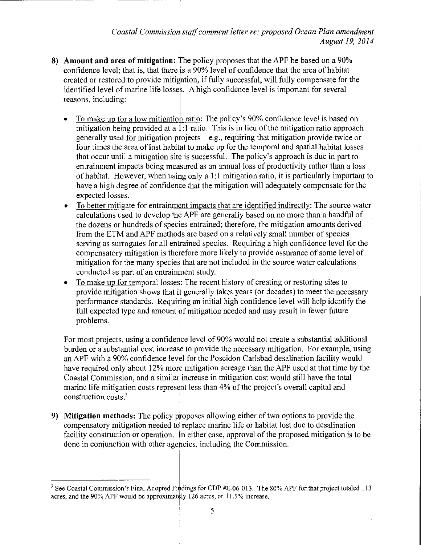- **8) Amount and area of mitigation:** The policy proposes that the APF be based on a 90% confidence level; that is, that there is a 90% level of confidence that the area of habitat created or restored to provide mitigation, if fully successful, will fully compensate for the identified level of marine life losses. A high confidence level is important for several reasons, including:
	- To make up for a low mitigation ratio: The policy's 90% confidence level is based on mitigation being provided at a 1:1 ratio. This is in lieu of the mitigation ratio approach generally used for mitigation projects  $-e.g.,$  requiring that mitigation provide twice or four times the area of lost habitat to make up for the temporal and spatial habitat losses that occur until a mitigation sit¢ is successful. The policy's approach is due in part to entrainment impacts being measured as an annual loss of productivity rather than a loss of habitat. However, when using only a 1:1 mitigation ratio, it is particularly important to have a high degree of confidence that the mitigation will adequately compensate for the expected losses.
	- To better mitigate for entrainment impacts that are identified indirectly: The source water calculations used to develop the APF are generally based on no more than a handful of the dozens or hundreds of species entrained; therefore, the mitigation amounts derived from the ETM and APF methods are based on a relatively small number of species serving as surrogates for all entrained species. Requiring a high confidence level for the compensatory mitigation is therefore more likely to provide assurance of some level of mitigation for the many species that are not included in the source water calculations conducted as part of an entrainment study.
	- To make up for temporal losses: The recent history of creating or restoring sites to provide mitigation shows that it generally takes years (or decades) to meet the necessary performance standards. Requining an initial high confidence level will help identify the full expected type and amount of mitigation needed and may result in fewer future problems.

For most projects, using a confiderice level of 90% would not create a substantial additional burden or a substantial cost increase to provide the necessary mitigation. For example, using an APF with a 90% confidence level for the Poseidon Carlsbad desalination facility would have required only about 12% more mitigation acreage than the APF used at that time by the Coastal Commission, and a similar increase in mitigation cost would still have the total marine life mitigation costs represent less than 4% of the project's overall capital and construction costs.'

**9) Mitigation methods:** The policy proposes allowing either of two options to provide the compensatory mitigation needed to replace marine life or habitat lost due to desalination facility construction or operation. In either case, approval of the proposed mitigation is to be done in conjunction with other agehcies, including the Commission.

<sup>&</sup>lt;sup>3</sup> See Coastal Commission's Final Adopted Findings for CDP #E-06-013. The 80% APF for that project totaled 113 acres, and the 90% APF would be approximately 126 acres, an 11.5% increase.